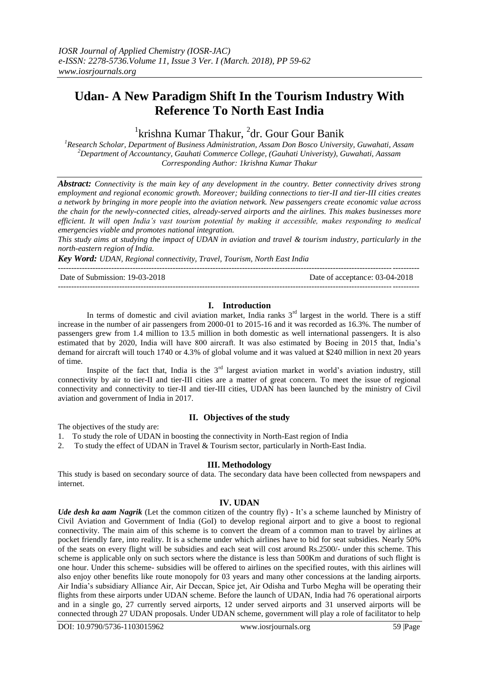# **Udan- A New Paradigm Shift In the Tourism Industry With Reference To North East India**

<sup>1</sup>krishna Kumar Thakur, <sup>2</sup>dr. Gour Gour Banik

*<sup>1</sup>Research Scholar, Department of Business Administration, Assam Don Bosco University, Guwahati, Assam <sup>2</sup>Department of Accountancy, Gauhati Commerce College, (Gauhati Univeristy), Guwahati, Aassam Corresponding Author: 1krishna Kumar Thakur*

*Abstract: Connectivity is the main key of any development in the country. Better connectivity drives strong employment and regional economic growth. Moreover; building connections to tier-II and tier-III cities creates a network by bringing in more people into the aviation network. New passengers create economic value across the chain for the newly-connected cities, already-served airports and the airlines. This makes businesses more efficient. It will open India's vast tourism potential by making it accessible, makes responding to medical emergencies viable and promotes national integration.*

*This study aims at studying the impact of UDAN in aviation and travel & tourism industry, particularly in the north-eastern region of India.*

*Key Word: UDAN, Regional connectivity, Travel, Tourism, North East India*

| Date of Submission: 19-03-2018 | Date of acceptance: 03-04-2018 |
|--------------------------------|--------------------------------|
|                                |                                |

## **I. Introduction**

In terms of domestic and civil aviation market, India ranks  $3<sup>rd</sup>$  largest in the world. There is a stiff increase in the number of air passengers from 2000-01 to 2015-16 and it was recorded as 16.3%. The number of passengers grew from 1.4 million to 13.5 million in both domestic as well international passengers. It is also estimated that by 2020, India will have 800 aircraft. It was also estimated by Boeing in 2015 that, India's demand for aircraft will touch 1740 or 4.3% of global volume and it was valued at \$240 million in next 20 years of time.

Inspite of the fact that, India is the  $3<sup>rd</sup>$  largest aviation market in world's aviation industry, still connectivity by air to tier-II and tier-III cities are a matter of great concern. To meet the issue of regional connectivity and connectivity to tier-II and tier-III cities, UDAN has been launched by the ministry of Civil aviation and government of India in 2017.

# **II. Objectives of the study**

The objectives of the study are:

- 1. To study the role of UDAN in boosting the connectivity in North-East region of India
- 2. To study the effect of UDAN in Travel & Tourism sector, particularly in North-East India.

#### **III. Methodology**

This study is based on secondary source of data. The secondary data have been collected from newspapers and internet.

# **IV. UDAN**

*Ude desh ka aam Nagrik* (Let the common citizen of the country fly) - It's a scheme launched by Ministry of Civil Aviation and Government of India (GoI) to develop regional airport and to give a boost to regional connectivity. The main aim of this scheme is to convert the dream of a common man to travel by airlines at pocket friendly fare, into reality. It is a scheme under which airlines have to bid for seat subsidies. Nearly 50% of the seats on every flight will be subsidies and each seat will cost around Rs.2500/- under this scheme. This scheme is applicable only on such sectors where the distance is less than 500Km and durations of such flight is one hour. Under this scheme- subsidies will be offered to airlines on the specified routes, with this airlines will also enjoy other benefits like route monopoly for 03 years and many other concessions at the landing airports. Air India's subsidiary Alliance Air, Air Deccan, Spice jet, Air Odisha and Turbo Megha will be operating their flights from these airports under UDAN scheme. Before the launch of UDAN, India had 76 operational airports and in a single go, 27 currently served airports, 12 under served airports and 31 unserved airports will be connected through 27 UDAN proposals. Under UDAN scheme, government will play a role of facilitator to help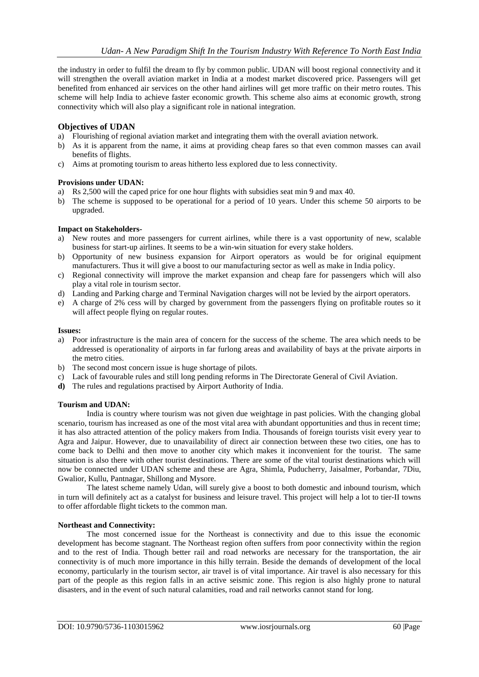the industry in order to fulfil the dream to fly by common public. UDAN will boost regional connectivity and it will strengthen the overall aviation market in India at a modest market discovered price. Passengers will get benefited from enhanced air services on the other hand airlines will get more traffic on their metro routes. This scheme will help India to achieve faster economic growth. This scheme also aims at economic growth, strong connectivity which will also play a significant role in national integration.

## **Objectives of UDAN**

- a) Flourishing of regional aviation market and integrating them with the overall aviation network.
- b) As it is apparent from the name, it aims at providing cheap fares so that even common masses can avail benefits of flights.
- c) Aims at promoting tourism to areas hitherto less explored due to less connectivity.

## **Provisions under UDAN:**

- a) Rs 2,500 will the caped price for one hour flights with subsidies seat min 9 and max 40.
- b) The scheme is supposed to be operational for a period of 10 years. Under this scheme 50 airports to be upgraded.

## **Impact on Stakeholders-**

- a) New routes and more passengers for current airlines, while there is a vast opportunity of new, scalable business for start-up airlines. It seems to be a win-win situation for every stake holders.
- b) Opportunity of new business expansion for Airport operators as would be for original equipment manufacturers. Thus it will give a boost to our manufacturing sector as well as make in India policy.
- c) Regional connectivity will improve the market expansion and cheap fare for passengers which will also play a vital role in tourism sector.
- d) Landing and Parking charge and Terminal Navigation charges will not be levied by the airport operators.
- e) A charge of 2% cess will by charged by government from the passengers flying on profitable routes so it will affect people flying on regular routes.

#### **Issues:**

- a) Poor infrastructure is the main area of concern for the success of the scheme. The area which needs to be addressed is operationality of airports in far furlong areas and availability of bays at the private airports in the metro cities.
- b) The second most concern issue is huge shortage of pilots.
- c) Lack of favourable rules and still long pending reforms in The Directorate General of Civil Aviation.
- **d)** The rules and regulations practised by Airport Authority of India.

#### **Tourism and UDAN:**

India is country where tourism was not given due weightage in past policies. With the changing global scenario, tourism has increased as one of the most vital area with abundant opportunities and thus in recent time; it has also attracted attention of the policy makers from India. Thousands of foreign tourists visit every year to Agra and Jaipur. However, due to unavailability of direct air connection between these two cities, one has to come back to Delhi and then move to another city which makes it inconvenient for the tourist. The same situation is also there with other tourist destinations. There are some of the vital tourist destinations which will now be connected under UDAN scheme and these are Agra, Shimla, Puducherry, Jaisalmer, Porbandar, 7Diu, Gwalior, Kullu, Pantnagar, Shillong and Mysore.

The latest scheme namely Udan, will surely give a boost to both domestic and inbound tourism, which in turn will definitely act as a catalyst for business and leisure travel. This project will help a lot to tier-II towns to offer affordable flight tickets to the common man.

#### **Northeast and Connectivity:**

The most concerned issue for the Northeast is connectivity and due to this issue the economic development has become stagnant. The Northeast region often suffers from poor connectivity within the region and to the rest of India. Though better rail and road networks are necessary for the transportation, the air connectivity is of much more importance in this hilly terrain. Beside the demands of development of the local economy, particularly in the tourism sector, air travel is of vital importance. Air travel is also necessary for this part of the people as this region falls in an active seismic zone. This region is also highly prone to natural disasters, and in the event of such natural calamities, road and rail networks cannot stand for long.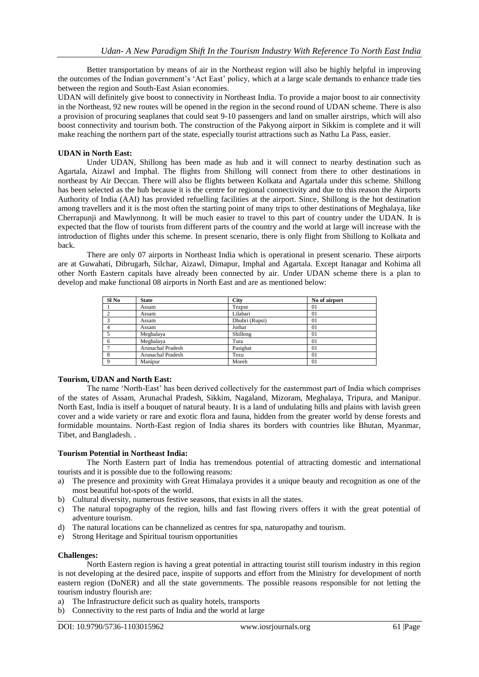Better transportation by means of air in the Northeast region will also be highly helpful in improving the outcomes of the Indian government's 'Act East' policy, which at a large scale demands to enhance trade ties between the region and South-East Asian economies.

UDAN will definitely give boost to connectivity in Northeast India. To provide a major boost to air connectivity in the Northeast, 92 new routes will be opened in the region in the second round of UDAN scheme. There is also a provision of procuring seaplanes that could seat 9-10 passengers and land on smaller airstrips, which will also boost connectivity and tourism both. The construction of the Pakyong airport in Sikkim is complete and it will make reaching the northern part of the state, especially tourist attractions such as Nathu La Pass, easier.

## **UDAN in North East:**

Under UDAN, Shillong has been made as hub and it will connect to nearby destination such as Agartala, Aizawl and Imphal. The flights from Shillong will connect from there to other destinations in northeast by Air Deccan. There will also be flights between Kolkata and Agartala under this scheme. Shillong has been selected as the hub because it is the centre for regional connectivity and due to this reason the Airports Authority of India (AAI) has provided refuelling facilities at the airport. Since, Shillong is the hot destination among travellers and it is the most often the starting point of many trips to other destinations of Meghalaya, like Cherrapunji and Mawlynnong. It will be much easier to travel to this part of country under the UDAN. It is expected that the flow of tourists from different parts of the country and the world at large will increase with the introduction of flights under this scheme. In present scenario, there is only flight from Shillong to Kolkata and back.

There are only 07 airports in Northeast India which is operational in present scenario. These airports are at Guwahati, Dibrugarh, Silchar, Aizawl, Dimapur, Imphal and Agartala. Except Itanagar and Kohima all other North Eastern capitals have already been connected by air. Under UDAN scheme there is a plan to develop and make functional 08 airports in North East and are as mentioned below:

| Sl No | <b>State</b>      | City           | No of airport |
|-------|-------------------|----------------|---------------|
|       | Assam             | Tezpur         | 01            |
|       | Assam             | Lilabari       | 01            |
|       | Assam             | Dhubri (Rupsi) | 01            |
|       | Assam             | Jorhat         | 01            |
|       | Meghalaya         | Shillong       | 01            |
|       | Meghalaya         | Tura           | 01            |
|       | Arunachal Pradesh | Pasighat       | 01            |
|       | Arunachal Pradesh | Tezu           | 01            |
|       | Manipur           | Moreh          | 01            |

# **Tourism, UDAN and North East:**

The name 'North-East' has been derived collectively for the easternmost part of India which comprises of the states of Assam, Arunachal Pradesh, Sikkim, Nagaland, Mizoram, Meghalaya, Tripura, and Manipur. North East, India is itself a bouquet of natural beauty. It is a land of undulating hills and plains with lavish green cover and a wide variety or rare and exotic flora and fauna, hidden from the greater world by dense forests and formidable mountains. North-East region of India shares its borders with countries like Bhutan, Myanmar, Tibet, and Bangladesh. .

#### **Tourism Potential in Northeast India:**

The North Eastern part of India has tremendous potential of attracting domestic and international tourists and it is possible due to the following reasons:

- a) The presence and proximity with Great Himalaya provides it a unique beauty and recognition as one of the most beautiful hot-spots of the world.
- b) Cultural diversity, numerous festive seasons, that exists in all the states.
- c) The natural topography of the region, hills and fast flowing rivers offers it with the great potential of adventure tourism.
- d) The natural locations can be channelized as centres for spa, naturopathy and tourism.
- e) Strong Heritage and Spiritual tourism opportunities

#### **Challenges:**

North Eastern region is having a great potential in attracting tourist still tourism industry in this region is not developing at the desired pace, inspite of supports and effort from the Ministry for development of north eastern region (DoNER) and all the state governments. The possible reasons responsible for not letting the tourism industry flourish are:

- a) The Infrastructure deficit such as quality hotels, transports
- b) Connectivity to the rest parts of India and the world at large